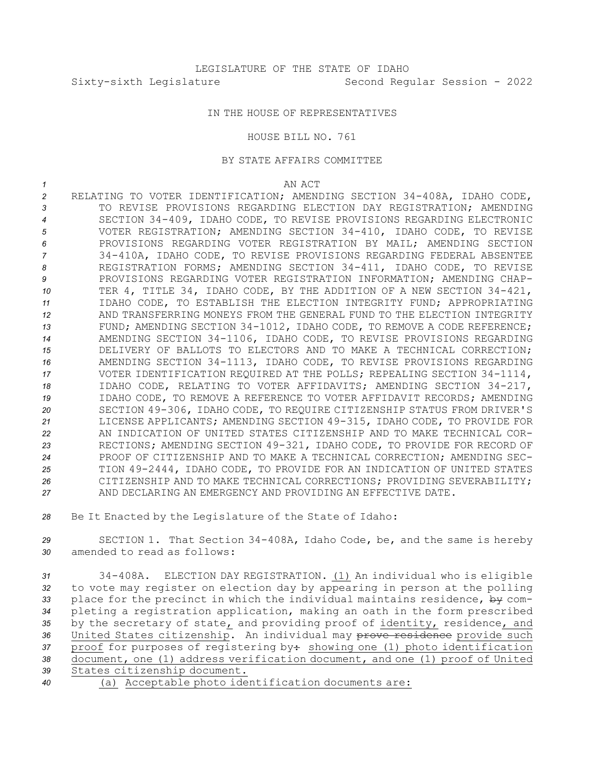## IN THE HOUSE OF REPRESENTATIVES

## HOUSE BILL NO. 761

## BY STATE AFFAIRS COMMITTEE

*1* AN ACT

 RELATING TO VOTER IDENTIFICATION; AMENDING SECTION 34-408A, IDAHO CODE, TO REVISE PROVISIONS REGARDING ELECTION DAY REGISTRATION; AMENDING SECTION 34-409, IDAHO CODE, TO REVISE PROVISIONS REGARDING ELECTRONIC VOTER REGISTRATION; AMENDING SECTION 34-410, IDAHO CODE, TO REVISE PROVISIONS REGARDING VOTER REGISTRATION BY MAIL; AMENDING SECTION 34-410A, IDAHO CODE, TO REVISE PROVISIONS REGARDING FEDERAL ABSENTEE REGISTRATION FORMS; AMENDING SECTION 34-411, IDAHO CODE, TO REVISE PROVISIONS REGARDING VOTER REGISTRATION INFORMATION; AMENDING CHAP- TER 4, TITLE 34, IDAHO CODE, BY THE ADDITION OF A NEW SECTION 34-421, IDAHO CODE, TO ESTABLISH THE ELECTION INTEGRITY FUND; APPROPRIATING AND TRANSFERRING MONEYS FROM THE GENERAL FUND TO THE ELECTION INTEGRITY 13 FUND; AMENDING SECTION 34-1012, IDAHO CODE, TO REMOVE A CODE REFERENCE; AMENDING SECTION 34-1106, IDAHO CODE, TO REVISE PROVISIONS REGARDING DELIVERY OF BALLOTS TO ELECTORS AND TO MAKE A TECHNICAL CORRECTION; AMENDING SECTION 34-1113, IDAHO CODE, TO REVISE PROVISIONS REGARDING VOTER IDENTIFICATION REQUIRED AT THE POLLS; REPEALING SECTION 34-1114, IDAHO CODE, RELATING TO VOTER AFFIDAVITS; AMENDING SECTION 34-217, IDAHO CODE, TO REMOVE A REFERENCE TO VOTER AFFIDAVIT RECORDS; AMENDING SECTION 49-306, IDAHO CODE, TO REQUIRE CITIZENSHIP STATUS FROM DRIVER'S LICENSE APPLICANTS; AMENDING SECTION 49-315, IDAHO CODE, TO PROVIDE FOR AN INDICATION OF UNITED STATES CITIZENSHIP AND TO MAKE TECHNICAL COR- RECTIONS; AMENDING SECTION 49-321, IDAHO CODE, TO PROVIDE FOR RECORD OF PROOF OF CITIZENSHIP AND TO MAKE A TECHNICAL CORRECTION; AMENDING SEC- TION 49-2444, IDAHO CODE, TO PROVIDE FOR AN INDICATION OF UNITED STATES CITIZENSHIP AND TO MAKE TECHNICAL CORRECTIONS; PROVIDING SEVERABILITY; AND DECLARING AN EMERGENCY AND PROVIDING AN EFFECTIVE DATE.

*<sup>28</sup>* Be It Enacted by the Legislature of the State of Idaho:

*<sup>29</sup>* SECTION 1. That Section 34-408A, Idaho Code, be, and the same is hereby *30* amended to read as follows:

 34-408A. ELECTION DAY REGISTRATION. (1) An individual who is eligible to vote may register on election day by appearing in person at the polling place for the precinct in which the individual maintains residence, by com- pleting <sup>a</sup> registration application, making an oath in the form prescribed by the secretary of state, and providing proof of identity, residence, and United States citizenship. An individual may prove residence provide such 37 proof for purposes of registering by: showing one (1) photo identification document, one (1) address verification document, and one (1) proof of United States citizenship document.

*<sup>40</sup>* (a) Acceptable photo identification documents are: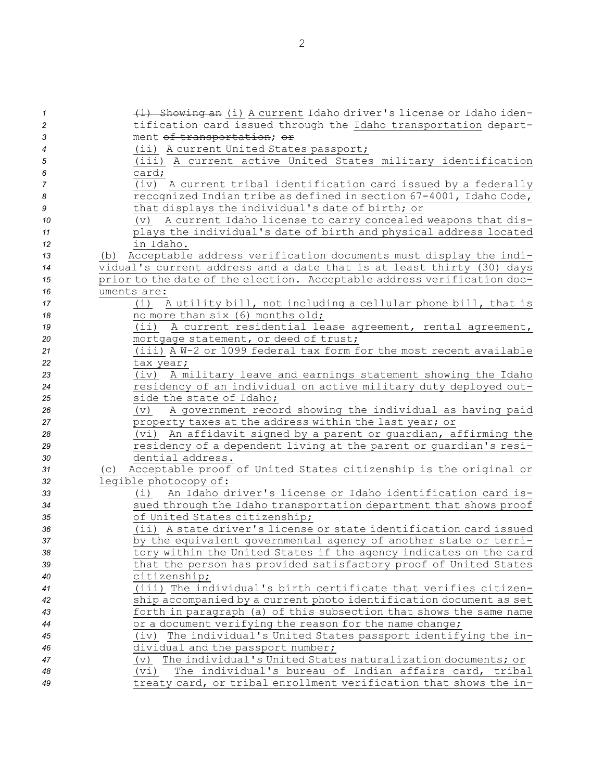| $\overline{1}$ | (1) Showing an (i) A current Idaho driver's license or Idaho iden-         |
|----------------|----------------------------------------------------------------------------|
| $\overline{c}$ | tification card issued through the Idaho transportation depart-            |
| 3              | ment of transportation; or                                                 |
| $\overline{4}$ | (ii) A current United States passport;                                     |
| 5              | (iii) A current active United States military identification               |
| 6              | card;                                                                      |
| 7              | A current tribal identification card issued by a federally<br>(iv)         |
| 8              | recognized Indian tribe as defined in section 67-4001, Idaho Code,         |
| 9              | that displays the individual's date of birth; or                           |
| 10             | A current Idaho license to carry concealed weapons that dis-<br>$(\nabla)$ |
| 11             | plays the individual's date of birth and physical address located          |
| 12             | in Idaho.                                                                  |
| 13             | Acceptable address verification documents must display the indi-<br>(b)    |
| 14             | vidual's current address and a date that is at least thirty (30) days      |
| 15             | prior to the date of the election. Acceptable address verification doc-    |
| 16             | uments are:                                                                |
| 17             | A utility bill, not including a cellular phone bill, that is<br>(i)        |
| 18             | no more than six (6) months old;                                           |
| 19             | A current residential lease agreement, rental agreement,<br>(iii)          |
| 20             | mortgage statement, or deed of trust;                                      |
| 21             | (iii) A W-2 or 1099 federal tax form for the most recent available         |
| 22             | tax year;                                                                  |
| 23             | A military leave and earnings statement showing the Idaho<br>(iv)          |
| 24             | residency of an individual on active military duty deployed out-           |
| 25             | side the state of Idaho;                                                   |
| 26             | A government record showing the individual as having paid<br>(v)           |
| 27             | property taxes at the address within the last year; or                     |
| 28             | An affidavit signed by a parent or guardian, affirming the<br>(vi)         |
| 29             | residency of a dependent living at the parent or guardian's resi-          |
| 30             | dential address.                                                           |
| 31             | Acceptable proof of United States citizenship is the original or<br>(C)    |
| 32             | legible photocopy of:                                                      |
| 33             | An Idaho driver's license or Idaho identification card is-<br>(i)          |
| 34             | sued through the Idaho transportation department that shows proof          |
| 35             | of United States citizenship;                                              |
| 36             | (ii) A state driver's license or state identification card issued          |
| 37             | by the equivalent governmental agency of another state or terri-           |
| 38             | tory within the United States if the agency indicates on the card          |
| 39             | that the person has provided satisfactory proof of United States           |
| 40             | citizenship;                                                               |
| 41             | (iii) The individual's birth certificate that verifies citizen-            |
| 42             | ship accompanied by a current photo identification document as set         |
| 43             | forth in paragraph (a) of this subsection that shows the same name         |
| 44             | or a document verifying the reason for the name change;                    |
| 45             | (iv) The individual's United States passport identifying the in-           |
| 46             | dividual and the passport number;                                          |
| 47             | The individual's United States naturalization documents; or<br>$(\nabla)$  |
| 48             | The individual's bureau of Indian affairs card, tribal<br>(vi)             |
| 49             | treaty card, or tribal enrollment verification that shows the in-          |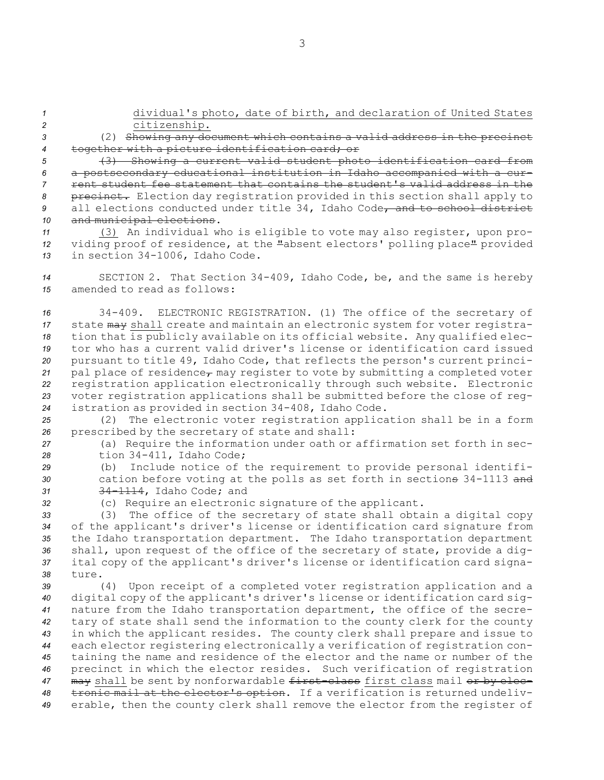*<sup>2</sup>* citizenship. *<sup>3</sup>* (2) Showing any document which contains <sup>a</sup> valid address in the precinct *<sup>4</sup>* together with <sup>a</sup> picture identification card; or

*<sup>1</sup>* dividual's photo, date of birth, and declaration of United States

 (3) Showing <sup>a</sup> current valid student photo identification card from <sup>a</sup> postsecondary educational institution in Idaho accompanied with <sup>a</sup> cur- rent student fee statement that contains the student's valid address in the precinct. Election day registration provided in this section shall apply to 9 all elections conducted under title 34, Idaho Code, and to school district and municipal elections.

*<sup>11</sup>* (3) An individual who is eligible to vote may also register, upon pro-*<sup>12</sup>* viding proof of residence, at the "absent electors' polling place" provided *<sup>13</sup>* in section 34-1006, Idaho Code.

*<sup>14</sup>* SECTION 2. That Section 34-409, Idaho Code, be, and the same is hereby *15* amended to read as follows:

 34-409. ELECTRONIC REGISTRATION. (1) The office of the secretary of state may shall create and maintain an electronic system for voter registra- tion that is publicly available on its official website. Any qualified elec- tor who has <sup>a</sup> current valid driver's license or identification card issued pursuant to title 49, Idaho Code, that reflects the person's current princi-21 pal place of residence<sub>r</sub> may register to vote by submitting a completed voter registration application electronically through such website. Electronic voter registration applications shall be submitted before the close of reg-istration as provided in section 34-408, Idaho Code.

*<sup>25</sup>* (2) The electronic voter registration application shall be in <sup>a</sup> form *<sup>26</sup>* prescribed by the secretary of state and shall:

*<sup>27</sup>* (a) Require the information under oath or affirmation set forth in sec-*<sup>28</sup>* tion 34-411, Idaho Code;

*<sup>29</sup>* (b) Include notice of the requirement to provide personal identifi-*<sup>30</sup>* cation before voting at the polls as set forth in sections 34-1113 and *<sup>31</sup>* 34-1114, Idaho Code; and

*<sup>32</sup>* (c) Require an electronic signature of the applicant.

 (3) The office of the secretary of state shall obtain <sup>a</sup> digital copy of the applicant's driver's license or identification card signature from the Idaho transportation department. The Idaho transportation department shall, upon request of the office of the secretary of state, provide <sup>a</sup> dig- ital copy of the applicant's driver's license or identification card signa-*38* ture.

 (4) Upon receipt of <sup>a</sup> completed voter registration application and <sup>a</sup> digital copy of the applicant's driver's license or identification card sig- nature from the Idaho transportation department, the office of the secre- tary of state shall send the information to the county clerk for the county in which the applicant resides. The county clerk shall prepare and issue to each elector registering electronically <sup>a</sup> verification of registration con- taining the name and residence of the elector and the name or number of the precinct in which the elector resides. Such verification of registration 47 may shall be sent by nonforwardable first-class first class mail or by elec- tronic mail at the elector's option. If <sup>a</sup> verification is returned undeliv-erable, then the county clerk shall remove the elector from the register of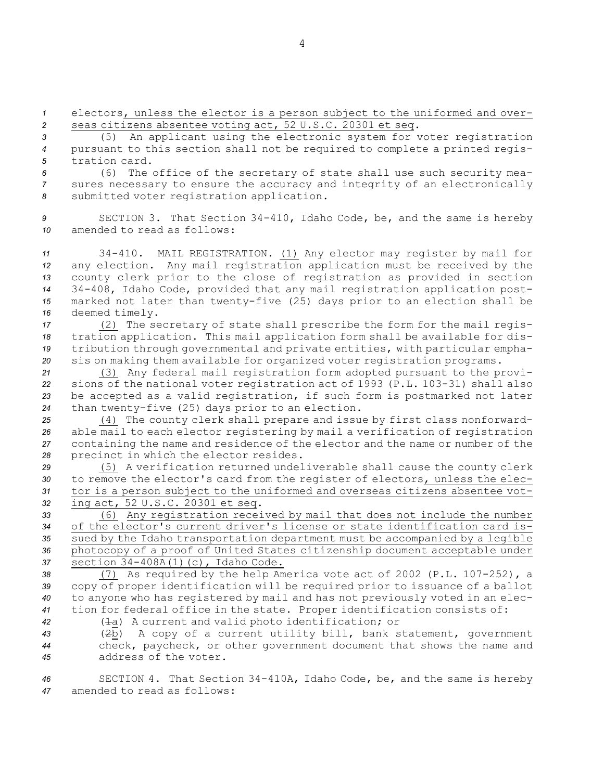*<sup>1</sup>* electors, unless the elector is <sup>a</sup> person subject to the uniformed and over-*<sup>2</sup>* seas citizens absentee voting act, 52 U.S.C. 20301 et seq.

*<sup>3</sup>* (5) An applicant using the electronic system for voter registration *<sup>4</sup>* pursuant to this section shall not be required to complete <sup>a</sup> printed regis-*5* tration card.

*<sup>6</sup>* (6) The office of the secretary of state shall use such security mea-*<sup>7</sup>* sures necessary to ensure the accuracy and integrity of an electronically *<sup>8</sup>* submitted voter registration application.

*<sup>9</sup>* SECTION 3. That Section 34-410, Idaho Code, be, and the same is hereby *10* amended to read as follows:

 34-410. MAIL REGISTRATION. (1) Any elector may register by mail for any election. Any mail registration application must be received by the county clerk prior to the close of registration as provided in section 34-408, Idaho Code, provided that any mail registration application post- marked not later than twenty-five (25) days prior to an election shall be deemed timely.

 (2) The secretary of state shall prescribe the form for the mail regis- tration application. This mail application form shall be available for dis- tribution through governmental and private entities, with particular empha-sis on making them available for organized voter registration programs.

 (3) Any federal mail registration form adopted pursuant to the provi- sions of the national voter registration act of 1993 (P.L. 103-31) shall also be accepted as <sup>a</sup> valid registration, if such form is postmarked not later than twenty-five (25) days prior to an election.

 (4) The county clerk shall prepare and issue by first class nonforward- able mail to each elector registering by mail <sup>a</sup> verification of registration containing the name and residence of the elector and the name or number of the precinct in which the elector resides.

 (5) <sup>A</sup> verification returned undeliverable shall cause the county clerk to remove the elector's card from the register of electors, unless the elec- tor is <sup>a</sup> person subject to the uniformed and overseas citizens absentee vot-ing act, 52 U.S.C. 20301 et seq.

 (6) Any registration received by mail that does not include the number of the elector's current driver's license or state identification card is- sued by the Idaho transportation department must be accompanied by <sup>a</sup> legible photocopy of <sup>a</sup> proof of United States citizenship document acceptable under section 34-408A(1)(c), Idaho Code.

 (7) As required by the help America vote act of 2002 (P.L. 107-252), <sup>a</sup> copy of proper identification will be required prior to issuance of <sup>a</sup> ballot to anyone who has registered by mail and has not previously voted in an elec-tion for federal office in the state. Proper identification consists of:

*<sup>42</sup>* (1a) <sup>A</sup> current and valid photo identification; or

*<sup>43</sup>* (2b) <sup>A</sup> copy of <sup>a</sup> current utility bill, bank statement, government *<sup>44</sup>* check, paycheck, or other government document that shows the name and *45* address of the voter.

*<sup>46</sup>* SECTION 4. That Section 34-410A, Idaho Code, be, and the same is hereby *47* amended to read as follows:

4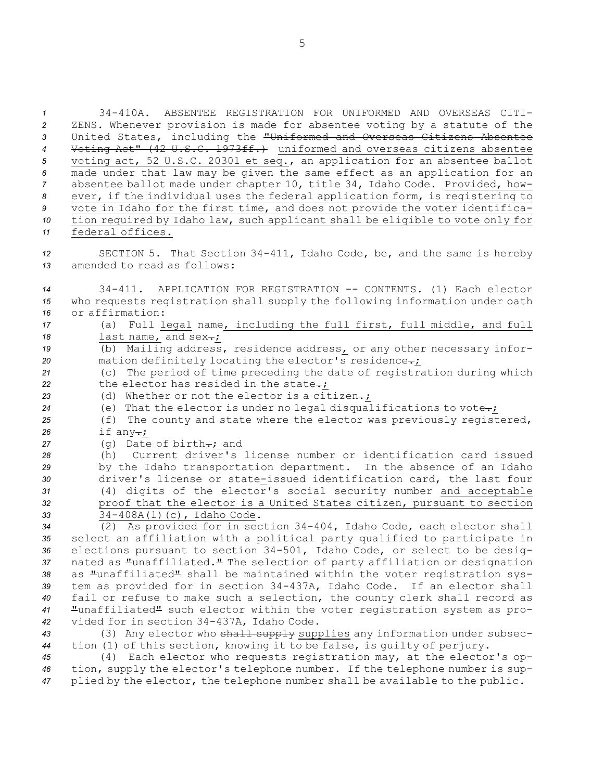34-410A. ABSENTEE REGISTRATION FOR UNIFORMED AND OVERSEAS CITI- ZENS. Whenever provision is made for absentee voting by <sup>a</sup> statute of the United States, including the "Uniformed and Overseas Citizens Absentee Voting Act" (42 U.S.C. 1973ff.) uniformed and overseas citizens absentee voting act, 52 U.S.C. 20301 et seq., an application for an absentee ballot made under that law may be given the same effect as an application for an absentee ballot made under chapter 10, title 34, Idaho Code. Provided, how- ever, if the individual uses the federal application form, is registering to vote in Idaho for the first time, and does not provide the voter identifica- tion required by Idaho law, such applicant shall be eligible to vote only for federal offices.

*<sup>12</sup>* SECTION 5. That Section 34-411, Idaho Code, be, and the same is hereby *13* amended to read as follows:

*<sup>14</sup>* 34-411. APPLICATION FOR REGISTRATION -- CONTENTS. (1) Each elector *<sup>15</sup>* who requests registration shall supply the following information under oath *16* or affirmation:

- *<sup>17</sup>* (a) Full legal name, including the full first, full middle, and full 18 last name, and sex-;
- 19 (b) Mailing address, residence address<sub>1</sub> or any other necessary infor-20 mation definitely locating the elector's residence.;

*<sup>21</sup>* (c) The period of time preceding the date of registration during which 22 the elector has resided in the state-;

23 (d) Whether or not the elector is a citizen.;

*<sup>24</sup>* (e) That the elector is under no legal disqualifications to vote.;

*<sup>25</sup>* (f) The county and state where the elector was previously registered, 26 if any-*;* 

27 (g) Date of birth-; and

 (h) Current driver's license number or identification card issued by the Idaho transportation department. In the absence of an Idaho driver's license or state-issued identification card, the last four (4) digits of the elector's social security number and acceptable proof that the elector is <sup>a</sup> United States citizen, pursuant to section 34-408A(1)(c), Idaho Code.

 (2) As provided for in section 34-404, Idaho Code, each elector shall select an affiliation with <sup>a</sup> political party qualified to participate in elections pursuant to section 34-501, Idaho Code, or select to be desig- nated as "unaffiliated." The selection of party affiliation or designation as "unaffiliated" shall be maintained within the voter registration sys- tem as provided for in section 34-437A, Idaho Code. If an elector shall fail or refuse to make such <sup>a</sup> selection, the county clerk shall record as "unaffiliated" such elector within the voter registration system as pro-vided for in section 34-437A, Idaho Code.

43 (3) Any elector who shall supply supplies any information under subsec-*<sup>44</sup>* tion (1) of this section, knowing it to be false, is guilty of perjury.

*<sup>45</sup>* (4) Each elector who requests registration may, at the elector's op-*<sup>46</sup>* tion, supply the elector's telephone number. If the telephone number is sup-*<sup>47</sup>* plied by the elector, the telephone number shall be available to the public.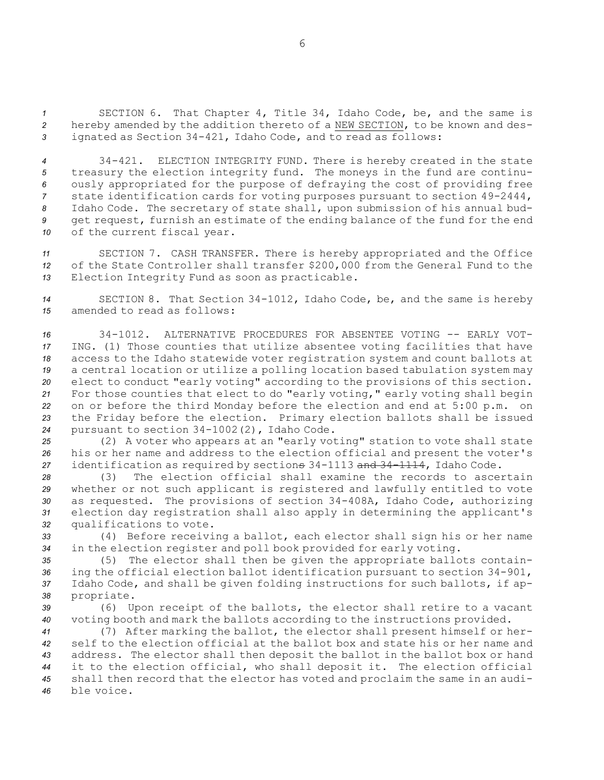*<sup>1</sup>* SECTION 6. That Chapter 4, Title 34, Idaho Code, be, and the same is *<sup>2</sup>* hereby amended by the addition thereto of <sup>a</sup> NEW SECTION, to be known and des-*<sup>3</sup>* ignated as Section 34-421, Idaho Code, and to read as follows:

 34-421. ELECTION INTEGRITY FUND. There is hereby created in the state treasury the election integrity fund. The moneys in the fund are continu- ously appropriated for the purpose of defraying the cost of providing free state identification cards for voting purposes pursuant to section 49-2444, Idaho Code. The secretary of state shall, upon submission of his annual bud- get request, furnish an estimate of the ending balance of the fund for the end of the current fiscal year.

*<sup>11</sup>* SECTION 7. CASH TRANSFER. There is hereby appropriated and the Office *<sup>12</sup>* of the State Controller shall transfer \$200,000 from the General Fund to the *<sup>13</sup>* Election Integrity Fund as soon as practicable.

*<sup>14</sup>* SECTION 8. That Section 34-1012, Idaho Code, be, and the same is hereby *15* amended to read as follows:

 34-1012. ALTERNATIVE PROCEDURES FOR ABSENTEE VOTING -- EARLY VOT- ING. (1) Those counties that utilize absentee voting facilities that have access to the Idaho statewide voter registration system and count ballots at <sup>a</sup> central location or utilize <sup>a</sup> polling location based tabulation system may elect to conduct "early voting" according to the provisions of this section. For those counties that elect to do "early voting," early voting shall begin on or before the third Monday before the election and end at 5:00 p.m. on the Friday before the election. Primary election ballots shall be issued pursuant to section 34-1002(2), Idaho Code.

*<sup>25</sup>* (2) <sup>A</sup> voter who appears at an "early voting" station to vote shall state *<sup>26</sup>* his or her name and address to the election official and present the voter's *<sup>27</sup>* identification as required by sections 34-1113 and 34-1114, Idaho Code.

 (3) The election official shall examine the records to ascertain whether or not such applicant is registered and lawfully entitled to vote as requested. The provisions of section 34-408A, Idaho Code, authorizing election day registration shall also apply in determining the applicant's qualifications to vote.

*<sup>33</sup>* (4) Before receiving <sup>a</sup> ballot, each elector shall sign his or her name *<sup>34</sup>* in the election register and poll book provided for early voting.

 (5) The elector shall then be given the appropriate ballots contain- ing the official election ballot identification pursuant to section 34-901, Idaho Code, and shall be given folding instructions for such ballots, if ap-propriate.

*<sup>39</sup>* (6) Upon receipt of the ballots, the elector shall retire to <sup>a</sup> vacant *<sup>40</sup>* voting booth and mark the ballots according to the instructions provided.

 (7) After marking the ballot, the elector shall present himself or her- self to the election official at the ballot box and state his or her name and address. The elector shall then deposit the ballot in the ballot box or hand it to the election official, who shall deposit it. The election official shall then record that the elector has voted and proclaim the same in an audi-ble voice.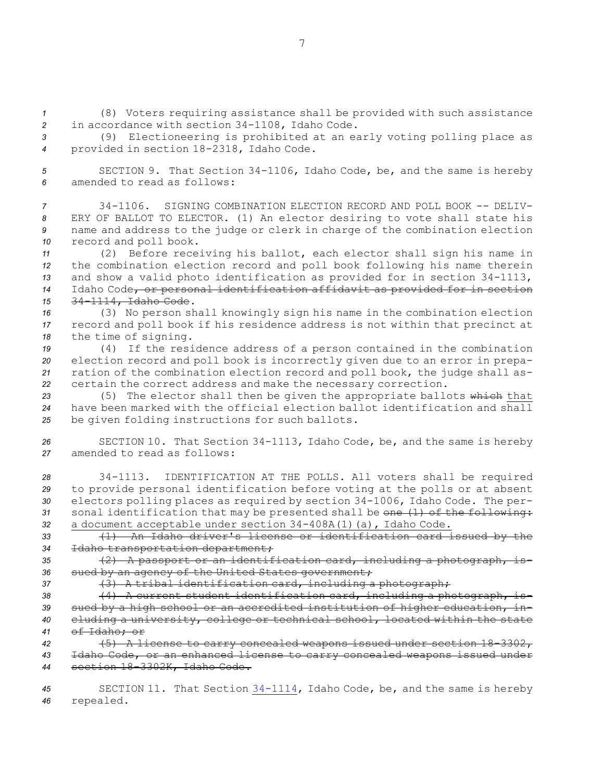*<sup>1</sup>* (8) Voters requiring assistance shall be provided with such assistance *<sup>2</sup>* in accordance with section 34-1108, Idaho Code.

*<sup>3</sup>* (9) Electioneering is prohibited at an early voting polling place as *<sup>4</sup>* provided in section 18-2318, Idaho Code.

*<sup>5</sup>* SECTION 9. That Section 34-1106, Idaho Code, be, and the same is hereby *6* amended to read as follows:

 34-1106. SIGNING COMBINATION ELECTION RECORD AND POLL BOOK -- DELIV- ERY OF BALLOT TO ELECTOR. (1) An elector desiring to vote shall state his name and address to the judge or clerk in charge of the combination election record and poll book.

 (2) Before receiving his ballot, each elector shall sign his name in the combination election record and poll book following his name therein and show <sup>a</sup> valid photo identification as provided for in section 34-1113, Idaho Code, or personal identification affidavit as provided for in section 34-1114, Idaho Code.

*<sup>16</sup>* (3) No person shall knowingly sign his name in the combination election *<sup>17</sup>* record and poll book if his residence address is not within that precinct at *<sup>18</sup>* the time of signing.

 (4) If the residence address of <sup>a</sup> person contained in the combination election record and poll book is incorrectly given due to an error in prepa- ration of the combination election record and poll book, the judge shall as-certain the correct address and make the necessary correction.

*<sup>23</sup>* (5) The elector shall then be given the appropriate ballots which that *24* have been marked with the official election ballot identification and shall *<sup>25</sup>* be given folding instructions for such ballots.

*<sup>26</sup>* SECTION 10. That Section 34-1113, Idaho Code, be, and the same is hereby *27* amended to read as follows:

 34-1113. IDENTIFICATION AT THE POLLS. All voters shall be required to provide personal identification before voting at the polls or at absent electors polling places as required by section 34-1006, Idaho Code. The per- sonal identification that may be presented shall be one (1) of the following: <sup>a</sup> document acceptable under section 34-408A(1)(a), Idaho Code.

*<sup>33</sup>* (1) An Idaho driver's license or identification card issued by the *<sup>34</sup>* Idaho transportation department;

*<sup>35</sup>* (2) <sup>A</sup> passport or an identification card, including <sup>a</sup> photograph, is-*<sup>36</sup>* sued by an agency of the United States government;

*<sup>37</sup>* (3) <sup>A</sup> tribal identification card, including <sup>a</sup> photograph;

 (4) <sup>A</sup> current student identification card, including <sup>a</sup> photograph, is- sued by <sup>a</sup> high school or an accredited institution of higher education, in- cluding <sup>a</sup> university, college or technical school, located within the state of Idaho; or

*<sup>42</sup>* (5) <sup>A</sup> license to carry concealed weapons issued under section 18-3302, *<sup>43</sup>* Idaho Code, or an enhanced license to carry concealed weapons issued under *<sup>44</sup>* section 18-3302K, Idaho Code.

*<sup>45</sup>* SECTION 11. That Section [34-1114](https://legislature.idaho.gov/statutesrules/idstat/Title34/T34CH11/SECT34-1114), Idaho Code, be, and the same is hereby *<sup>46</sup>* repealed.

7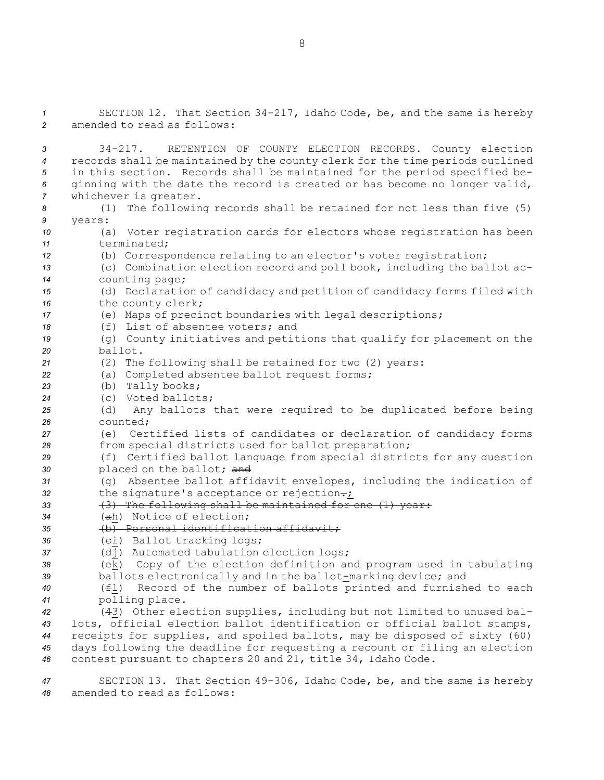SECTION 12. That Section 34-217, Idaho Code, be, and the same is hereby amended to read as follows: 34-217. RETENTION OF COUNTY ELECTION RECORDS. County election records shall be maintained by the county clerk for the time periods outlined in this section. Records shall be maintained for the period specified be- ginning with the date the record is created or has become no longer valid, whichever is greater. (1) The following records shall be retained for not less than five (5) *9* years: (a) Voter registration cards for electors whose registration has been terminated; (b) Correspondence relating to an elector's voter registration; (c) Combination election record and poll book, including the ballot ac- counting page; (d) Declaration of candidacy and petition of candidacy forms filed with the county clerk; (e) Maps of precinct boundaries with legal descriptions; (f) List of absentee voters; and (g) County initiatives and petitions that qualify for placement on the *20* ballot. (2) The following shall be retained for two (2) years: (a) Completed absentee ballot request forms; (b) Tally books; (c) Voted ballots; (d) Any ballots that were required to be duplicated before being *26* counted; (e) Certified lists of candidates or declaration of candidacy forms from special districts used for ballot preparation; (f) Certified ballot language from special districts for any question placed on the ballot; and (g) Absentee ballot affidavit envelopes, including the indication of 32 the signature's acceptance or rejection-; (3) The following shall be maintained for one (1) year: (ah) Notice of election; (b) Personal identification affidavit; 36 (ei) Ballot tracking logs; (dj) Automated tabulation election logs; (ek) Copy of the election definition and program used in tabulating ballots electronically and in the ballot-marking device; and (fl) Record of the number of ballots printed and furnished to each polling place. (43) Other election supplies, including but not limited to unused bal- lots, official election ballot identification or official ballot stamps, receipts for supplies, and spoiled ballots, may be disposed of sixty (60) days following the deadline for requesting <sup>a</sup> recount or filing an election contest pursuant to chapters 20 and 21, title 34, Idaho Code.

*<sup>47</sup>* SECTION 13. That Section 49-306, Idaho Code, be, and the same is hereby *48* amended to read as follows:

8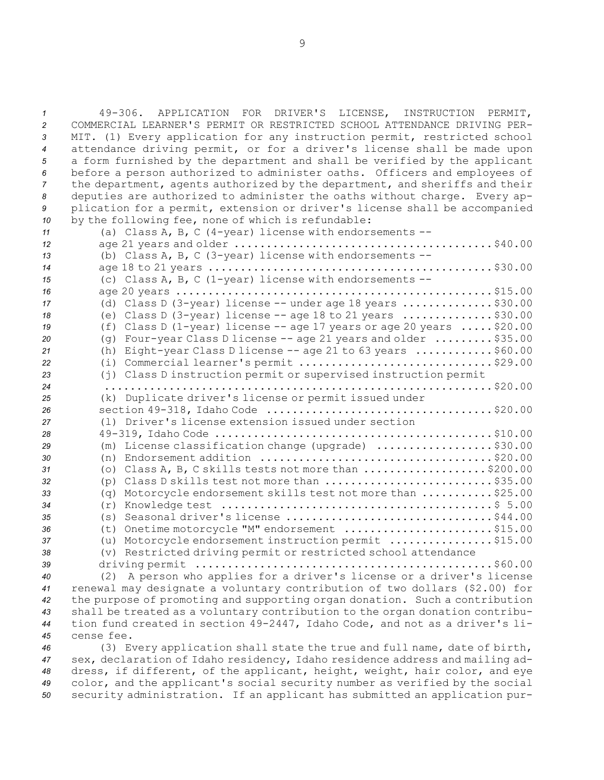49-306. APPLICATION FOR DRIVER'S LICENSE, INSTRUCTION PERMIT, COMMERCIAL LEARNER'S PERMIT OR RESTRICTED SCHOOL ATTENDANCE DRIVING PER- MIT. (1) Every application for any instruction permit, restricted school attendance driving permit, or for <sup>a</sup> driver's license shall be made upon <sup>a</sup> form furnished by the department and shall be verified by the applicant before <sup>a</sup> person authorized to administer oaths. Officers and employees of the department, agents authorized by the department, and sheriffs and their deputies are authorized to administer the oaths without charge. Every ap- plication for <sup>a</sup> permit, extension or driver's license shall be accompanied by the following fee, none of which is refundable:

 (a) Class A, B, C (4-year) license with endorsements -- age 21 years and older ........................................\$40.00 (b) Class A, B, C (3-year) license with endorsements -- age 18 to 21 years ............................................\$30.00 (c) Class A, B, C (1-year) license with endorsements -- age 20 years .................................................\$15.00 (d) Class <sup>D</sup> (3-year) license -- under age 18 years ..............\$30.00 (e) Class <sup>D</sup> (3-year) license -- age 18 to 21 years ..............\$30.00 (f) Class <sup>D</sup> (1-year) license -- age 17 years or age 20 years .....\$20.00 (g) Four-year Class <sup>D</sup> license -- age 21 years and older .........\$35.00 (h) Eight-year Class <sup>D</sup> license -- age 21 to 63 years ............\$60.00 (i) Commercial learner's permit ..............................\$29.00 (j) Class <sup>D</sup> instruction permit or supervised instruction permit ............................................................\$20.00 (k) Duplicate driver's license or permit issued under section 49-318, Idaho Code ...................................\$20.00 (l) Driver's license extension issued under section 49-319, Idaho Code ...........................................\$10.00 (m) License classification change (upgrade) ..................\$30.00 (n) Endorsement addition ....................................\$20.00 (o) Class A, B, C skills tests not more than ...................\$200.00 (p) Class <sup>D</sup> skills test not more than ..........................\$35.00 (q) Motorcycle endorsement skills test not more than ...........\$25.00 (r) Knowledge test ..........................................\$ 5.00 (s) Seasonal driver's license ................................\$44.00 (t) Onetime motorcycle "M" endorsement .......................\$15.00 (u) Motorcycle endorsement instruction permit ................\$15.00 (v) Restricted driving permit or restricted school attendance driving permit ..............................................\$60.00 (2) <sup>A</sup> person who applies for <sup>a</sup> driver's license or <sup>a</sup> driver's license renewal may designate <sup>a</sup> voluntary contribution of two dollars (\$2.00) for

 the purpose of promoting and supporting organ donation. Such <sup>a</sup> contribution shall be treated as <sup>a</sup> voluntary contribution to the organ donation contribu- tion fund created in section 49-2447, Idaho Code, and not as <sup>a</sup> driver's li-cense fee.

 (3) Every application shall state the true and full name, date of birth, sex, declaration of Idaho residency, Idaho residence address and mailing ad- dress, if different, of the applicant, height, weight, hair color, and eye color, and the applicant's social security number as verified by the social security administration. If an applicant has submitted an application pur-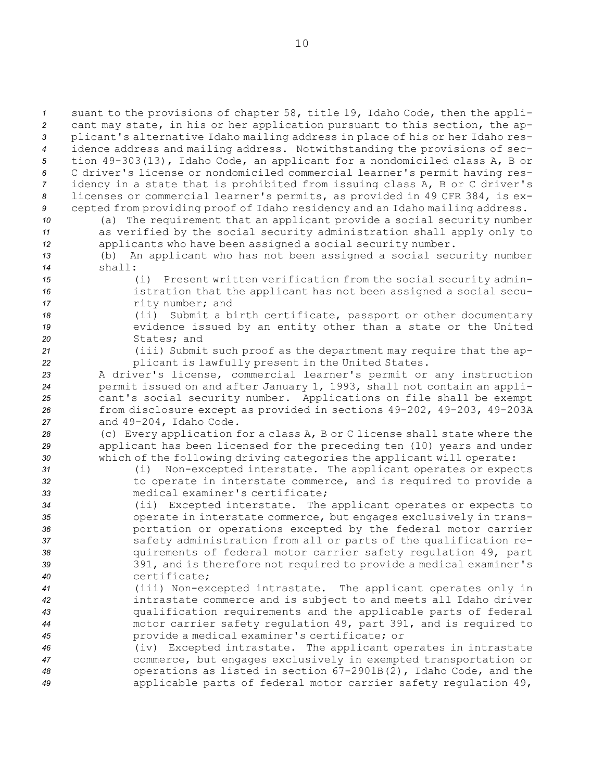suant to the provisions of chapter 58, title 19, Idaho Code, then the appli- cant may state, in his or her application pursuant to this section, the ap- plicant's alternative Idaho mailing address in place of his or her Idaho res- idence address and mailing address. Notwithstanding the provisions of sec- tion 49-303(13), Idaho Code, an applicant for <sup>a</sup> nondomiciled class A, <sup>B</sup> or C driver's license or nondomiciled commercial learner's permit having res- idency in <sup>a</sup> state that is prohibited from issuing class A, <sup>B</sup> or C driver's licenses or commercial learner's permits, as provided in 49 CFR 384, is ex- cepted from providing proof of Idaho residency and an Idaho mailing address. (a) The requirement that an applicant provide <sup>a</sup> social security number as verified by the social security administration shall apply only to applicants who have been assigned <sup>a</sup> social security number. (b) An applicant who has not been assigned <sup>a</sup> social security number *14* shall: (i) Present written verification from the social security admin- istration that the applicant has not been assigned <sup>a</sup> social secu-*rity number;* and (ii) Submit <sup>a</sup> birth certificate, passport or other documentary **19** evidence issued by an entity other than a state or the United States; and (iii) Submit such proof as the department may require that the ap- plicant is lawfully present in the United States. <sup>A</sup> driver's license, commercial learner's permit or any instruction permit issued on and after January 1, 1993, shall not contain an appli- cant's social security number. Applications on file shall be exempt from disclosure except as provided in sections 49-202, 49-203, 49-203A and 49-204, Idaho Code. (c) Every application for <sup>a</sup> class A, <sup>B</sup> or C license shall state where the applicant has been licensed for the preceding ten (10) years and under which of the following driving categories the applicant will operate: (i) Non-excepted interstate. The applicant operates or expects to operate in interstate commerce, and is required to provide <sup>a</sup> medical examiner's certificate; (ii) Excepted interstate. The applicant operates or expects to operate in interstate commerce, but engages exclusively in trans- portation or operations excepted by the federal motor carrier safety administration from all or parts of the qualification re- quirements of federal motor carrier safety regulation 49, part 391, and is therefore not required to provide <sup>a</sup> medical examiner's certificate; (iii) Non-excepted intrastate. The applicant operates only in intrastate commerce and is subject to and meets all Idaho driver qualification requirements and the applicable parts of federal motor carrier safety regulation 49, part 391, and is required to provide <sup>a</sup> medical examiner's certificate; or (iv) Excepted intrastate. The applicant operates in intrastate commerce, but engages exclusively in exempted transportation or operations as listed in section 67-2901B(2), Idaho Code, and the applicable parts of federal motor carrier safety regulation 49,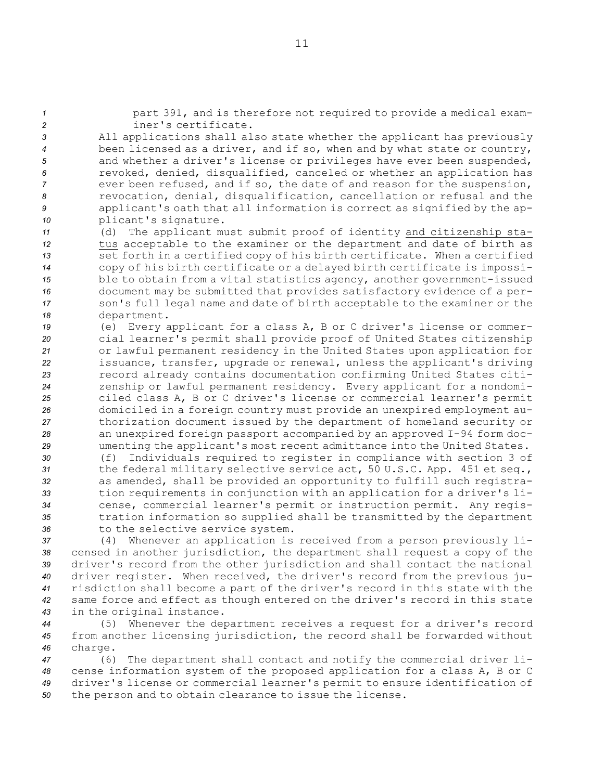| $\mathbf{1}$ | part 391, and is therefore not required to provide a medical exam-                                                                                 |
|--------------|----------------------------------------------------------------------------------------------------------------------------------------------------|
| 2            | iner's certificate.                                                                                                                                |
| 3            | All applications shall also state whether the applicant has previously                                                                             |
| 4            | been licensed as a driver, and if so, when and by what state or country,                                                                           |
| 5            | and whether a driver's license or privileges have ever been suspended,                                                                             |
| 6            | revoked, denied, disqualified, canceled or whether an application has                                                                              |
| 7            | ever been refused, and if so, the date of and reason for the suspension,                                                                           |
| 8            | revocation, denial, disqualification, cancellation or refusal and the                                                                              |
| 9            | applicant's oath that all information is correct as signified by the ap-                                                                           |
| 10           | plicant's signature.<br>The applicant must submit proof of identity and citizenship sta-<br>(d)                                                    |
| 11<br>12     | tus acceptable to the examiner or the department and date of birth as                                                                              |
| 13           | set forth in a certified copy of his birth certificate. When a certified                                                                           |
| 14           | copy of his birth certificate or a delayed birth certificate is impossi-                                                                           |
| 15           | ble to obtain from a vital statistics agency, another government-issued                                                                            |
| 16           | document may be submitted that provides satisfactory evidence of a per-                                                                            |
| 17           | son's full legal name and date of birth acceptable to the examiner or the                                                                          |
| 18           | department.                                                                                                                                        |
| 19           | (e) Every applicant for a class A, B or C driver's license or commer-                                                                              |
| 20           | cial learner's permit shall provide proof of United States citizenship                                                                             |
| 21           | or lawful permanent residency in the United States upon application for                                                                            |
| 22           | issuance, transfer, upgrade or renewal, unless the applicant's driving                                                                             |
| 23           | record already contains documentation confirming United States citi-                                                                               |
| 24           | zenship or lawful permanent residency. Every applicant for a nondomi-                                                                              |
| 25           | ciled class A, B or C driver's license or commercial learner's permit                                                                              |
| 26           | domiciled in a foreign country must provide an unexpired employment au-                                                                            |
| 27           | thorization document issued by the department of homeland security or                                                                              |
| 28<br>29     | an unexpired foreign passport accompanied by an approved I-94 form doc-<br>umenting the applicant's most recent admittance into the United States. |
| 30           | Individuals required to register in compliance with section 3 of<br>(f)                                                                            |
| 31           | the federal military selective service act, 50 U.S.C. App. 451 et seq.,                                                                            |
| 32           | as amended, shall be provided an opportunity to fulfill such registra-                                                                             |
| 33           | tion requirements in conjunction with an application for a driver's li-                                                                            |
| 34           | cense, commercial learner's permit or instruction permit. Any regis-                                                                               |
| 35           | tration information so supplied shall be transmitted by the department                                                                             |
| 36           | to the selective service system.                                                                                                                   |
| 37           | (4) Whenever an application is received from a person previously li-                                                                               |
| 38           | censed in another jurisdiction, the department shall request a copy of the                                                                         |
| 39           | driver's record from the other jurisdiction and shall contact the national                                                                         |
| 40           | driver register. When received, the driver's record from the previous ju-                                                                          |
| 41           | risdiction shall become a part of the driver's record in this state with the                                                                       |
| 42           | same force and effect as though entered on the driver's record in this state                                                                       |

- *<sup>43</sup>* in the original instance.
- *<sup>44</sup>* (5) Whenever the department receives <sup>a</sup> request for <sup>a</sup> driver's record *<sup>45</sup>* from another licensing jurisdiction, the record shall be forwarded without *<sup>46</sup>* charge.

 (6) The department shall contact and notify the commercial driver li- cense information system of the proposed application for <sup>a</sup> class A, <sup>B</sup> or C driver's license or commercial learner's permit to ensure identification of the person and to obtain clearance to issue the license.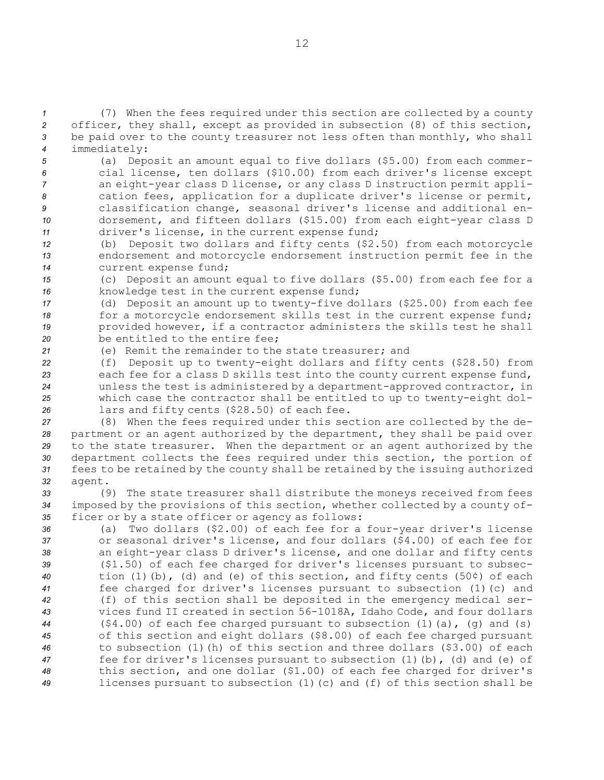(7) When the fees required under this section are collected by <sup>a</sup> county officer, they shall, except as provided in subsection (8) of this section, be paid over to the county treasurer not less often than monthly, who shall immediately:

 (a) Deposit an amount equal to five dollars (\$5.00) from each commer- cial license, ten dollars (\$10.00) from each driver's license except an eight-year class <sup>D</sup> license, or any class <sup>D</sup> instruction permit appli- cation fees, application for <sup>a</sup> duplicate driver's license or permit, classification change, seasonal driver's license and additional en- dorsement, and fifteen dollars (\$15.00) from each eight-year class <sup>D</sup> driver's license, in the current expense fund;

*<sup>12</sup>* (b) Deposit two dollars and fifty cents (\$2.50) from each motorcycle *<sup>13</sup>* endorsement and motorcycle endorsement instruction permit fee in the *<sup>14</sup>* current expense fund;

*<sup>15</sup>* (c) Deposit an amount equal to five dollars (\$5.00) from each fee for <sup>a</sup> *<sup>16</sup>* knowledge test in the current expense fund;

 (d) Deposit an amount up to twenty-five dollars (\$25.00) from each fee 18 for a motorcycle endorsement skills test in the current expense fund; provided however, if <sup>a</sup> contractor administers the skills test he shall be entitled to the entire fee;

*<sup>21</sup>* (e) Remit the remainder to the state treasurer; and

 (f) Deposit up to twenty-eight dollars and fifty cents (\$28.50) from each fee for <sup>a</sup> class <sup>D</sup> skills test into the county current expense fund, unless the test is administered by <sup>a</sup> department-approved contractor, in which case the contractor shall be entitled to up to twenty-eight dol-lars and fifty cents (\$28.50) of each fee.

 (8) When the fees required under this section are collected by the de- partment or an agent authorized by the department, they shall be paid over to the state treasurer. When the department or an agent authorized by the department collects the fees required under this section, the portion of fees to be retained by the county shall be retained by the issuing authorized *32* agent.

*<sup>33</sup>* (9) The state treasurer shall distribute the moneys received from fees *<sup>34</sup>* imposed by the provisions of this section, whether collected by <sup>a</sup> county of-*<sup>35</sup>* ficer or by <sup>a</sup> state officer or agency as follows:

 (a) Two dollars (\$2.00) of each fee for <sup>a</sup> four-year driver's license or seasonal driver's license, and four dollars (\$4.00) of each fee for an eight-year class <sup>D</sup> driver's license, and one dollar and fifty cents (\$1.50) of each fee charged for driver's licenses pursuant to subsec- tion (1)(b), (d) and (e) of this section, and fifty cents (50¢) of each fee charged for driver's licenses pursuant to subsection (1)(c) and (f) of this section shall be deposited in the emergency medical ser- vices fund II created in section 56-1018A, Idaho Code, and four dollars (\$4.00) of each fee charged pursuant to subsection (1)(a), (g) and (s) of this section and eight dollars (\$8.00) of each fee charged pursuant to subsection (1)(h) of this section and three dollars (\$3.00) of each fee for driver's licenses pursuant to subsection (1)(b), (d) and (e) of this section, and one dollar (\$1.00) of each fee charged for driver's licenses pursuant to subsection (1)(c) and (f) of this section shall be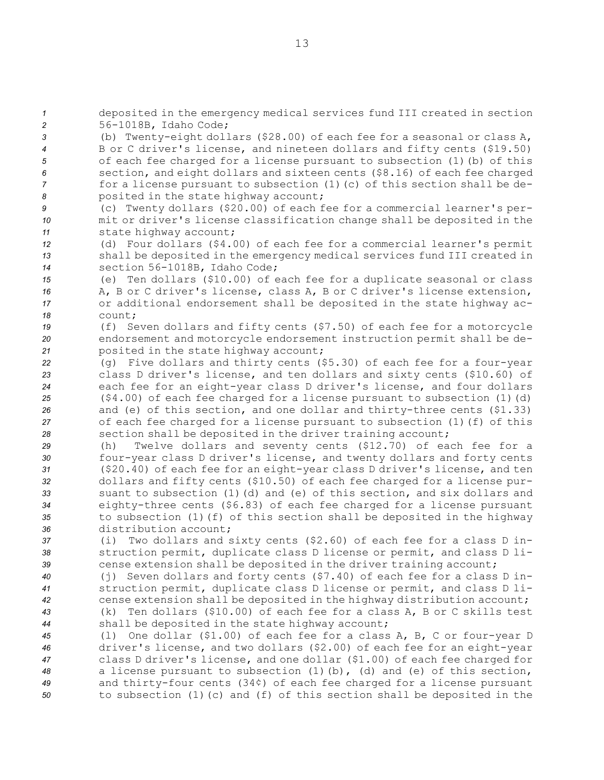*<sup>1</sup>* deposited in the emergency medical services fund III created in section *<sup>2</sup>* 56-1018B, Idaho Code;

 (b) Twenty-eight dollars (\$28.00) of each fee for <sup>a</sup> seasonal or class A, <sup>B</sup> or C driver's license, and nineteen dollars and fifty cents (\$19.50) of each fee charged for <sup>a</sup> license pursuant to subsection (1)(b) of this section, and eight dollars and sixteen cents (\$8.16) of each fee charged for a license pursuant to subsection (1) (c) of this section shall be de-posited in the state highway account;

*<sup>9</sup>* (c) Twenty dollars (\$20.00) of each fee for <sup>a</sup> commercial learner's per-*<sup>10</sup>* mit or driver's license classification change shall be deposited in the *<sup>11</sup>* state highway account;

*<sup>12</sup>* (d) Four dollars (\$4.00) of each fee for <sup>a</sup> commercial learner's permit *<sup>13</sup>* shall be deposited in the emergency medical services fund III created in *<sup>14</sup>* section 56-1018B, Idaho Code;

 (e) Ten dollars (\$10.00) of each fee for <sup>a</sup> duplicate seasonal or class A, B or C driver's license, class A, B or C driver's license extension, or additional endorsement shall be deposited in the state highway ac-*18* count;

*<sup>19</sup>* (f) Seven dollars and fifty cents (\$7.50) of each fee for <sup>a</sup> motorcycle *<sup>20</sup>* endorsement and motorcycle endorsement instruction permit shall be de-*<sup>21</sup>* posited in the state highway account;

 (g) Five dollars and thirty cents (\$5.30) of each fee for <sup>a</sup> four-year class <sup>D</sup> driver's license, and ten dollars and sixty cents (\$10.60) of each fee for an eight-year class <sup>D</sup> driver's license, and four dollars (\$4.00) of each fee charged for <sup>a</sup> license pursuant to subsection (1)(d) and (e) of this section, and one dollar and thirty-three cents (\$1.33) of each fee charged for <sup>a</sup> license pursuant to subsection (1)(f) of this section shall be deposited in the driver training account;

 (h) Twelve dollars and seventy cents (\$12.70) of each fee for <sup>a</sup> four-year class <sup>D</sup> driver's license, and twenty dollars and forty cents (\$20.40) of each fee for an eight-year class <sup>D</sup> driver's license, and ten dollars and fifty cents (\$10.50) of each fee charged for <sup>a</sup> license pur- suant to subsection (1)(d) and (e) of this section, and six dollars and eighty-three cents (\$6.83) of each fee charged for <sup>a</sup> license pursuant to subsection (1)(f) of this section shall be deposited in the highway distribution account;

*<sup>37</sup>* (i) Two dollars and sixty cents (\$2.60) of each fee for <sup>a</sup> class <sup>D</sup> in-*<sup>38</sup>* struction permit, duplicate class <sup>D</sup> license or permit, and class <sup>D</sup> li-*<sup>39</sup>* cense extension shall be deposited in the driver training account;

 (j) Seven dollars and forty cents (\$7.40) of each fee for <sup>a</sup> class <sup>D</sup> in- struction permit, duplicate class <sup>D</sup> license or permit, and class <sup>D</sup> li- cense extension shall be deposited in the highway distribution account; (k) Ten dollars (\$10.00) of each fee for <sup>a</sup> class A, B or C skills test shall be deposited in the state highway account;

 (l) One dollar (\$1.00) of each fee for <sup>a</sup> class A, B, C or four-year <sup>D</sup> driver's license, and two dollars (\$2.00) of each fee for an eight-year class <sup>D</sup> driver's license, and one dollar (\$1.00) of each fee charged for <sup>a</sup> license pursuant to subsection (1)(b), (d) and (e) of this section, and thirty-four cents (34¢) of each fee charged for <sup>a</sup> license pursuant to subsection (1)(c) and (f) of this section shall be deposited in the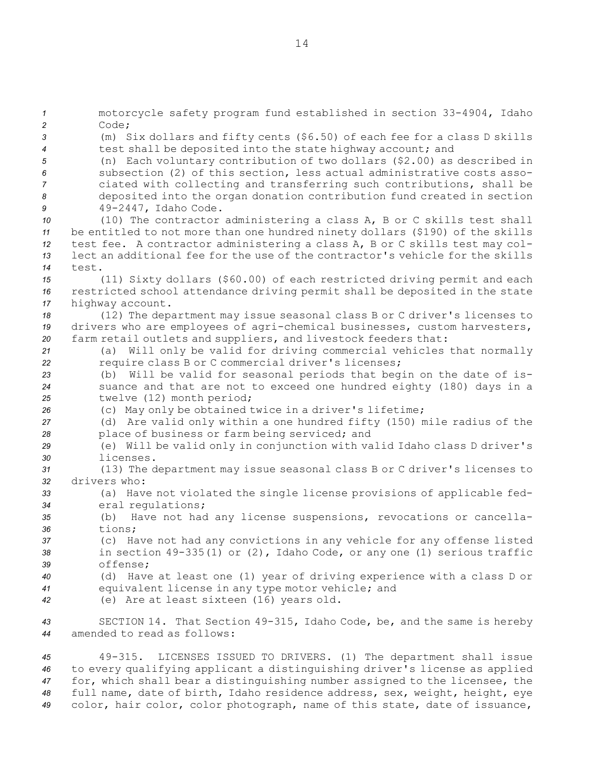motorcycle safety program fund established in section 33-4904, Idaho *2* Code; (m) Six dollars and fifty cents (\$6.50) of each fee for <sup>a</sup> class <sup>D</sup> skills test shall be deposited into the state highway account; and (n) Each voluntary contribution of two dollars (\$2.00) as described in subsection (2) of this section, less actual administrative costs asso- ciated with collecting and transferring such contributions, shall be deposited into the organ donation contribution fund created in section 49-2447, Idaho Code. (10) The contractor administering <sup>a</sup> class A, <sup>B</sup> or C skills test shall be entitled to not more than one hundred ninety dollars (\$190) of the skills test fee. <sup>A</sup> contractor administering <sup>a</sup> class A, <sup>B</sup> or C skills test may col- lect an additional fee for the use of the contractor's vehicle for the skills *14* test. (11) Sixty dollars (\$60.00) of each restricted driving permit and each restricted school attendance driving permit shall be deposited in the state highway account. (12) The department may issue seasonal class <sup>B</sup> or C driver's licenses to drivers who are employees of agri-chemical businesses, custom harvesters, farm retail outlets and suppliers, and livestock feeders that: (a) Will only be valid for driving commercial vehicles that normally require class <sup>B</sup> or C commercial driver's licenses; (b) Will be valid for seasonal periods that begin on the date of is- suance and that are not to exceed one hundred eighty (180) days in <sup>a</sup> twelve (12) month period; (c) May only be obtained twice in <sup>a</sup> driver's lifetime; (d) Are valid only within <sup>a</sup> one hundred fifty (150) mile radius of the place of business or farm being serviced; and (e) Will be valid only in conjunction with valid Idaho class <sup>D</sup> driver's licenses. (13) The department may issue seasonal class <sup>B</sup> or C driver's licenses to drivers who: (a) Have not violated the single license provisions of applicable fed- eral regulations; (b) Have not had any license suspensions, revocations or cancella-*36* tions; (c) Have not had any convictions in any vehicle for any offense listed in section 49-335(1) or (2), Idaho Code, or any one (1) serious traffic *39* offense; (d) Have at least one (1) year of driving experience with <sup>a</sup> class <sup>D</sup> or equivalent license in any type motor vehicle; and (e) Are at least sixteen (16) years old. SECTION 14. That Section 49-315, Idaho Code, be, and the same is hereby amended to read as follows:

 49-315. LICENSES ISSUED TO DRIVERS. (1) The department shall issue to every qualifying applicant <sup>a</sup> distinguishing driver's license as applied for, which shall bear <sup>a</sup> distinguishing number assigned to the licensee, the full name, date of birth, Idaho residence address, sex, weight, height, eye color, hair color, color photograph, name of this state, date of issuance,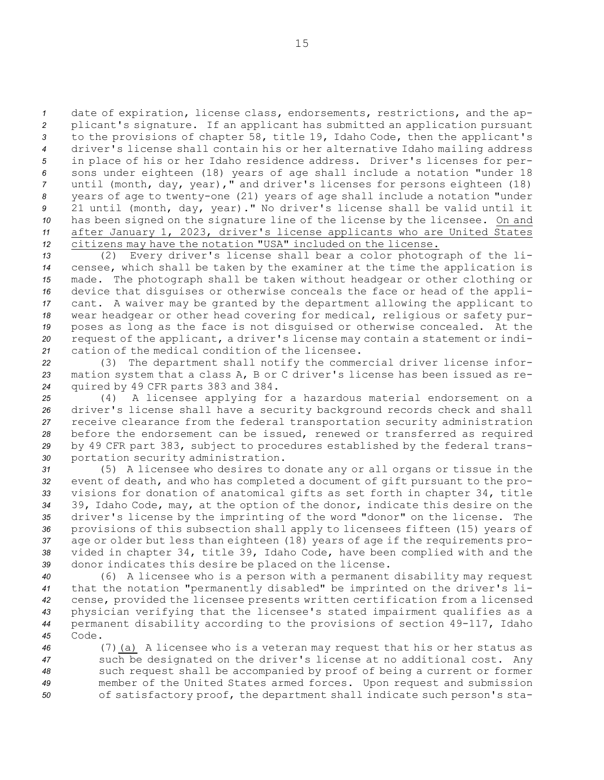date of expiration, license class, endorsements, restrictions, and the ap- plicant's signature. If an applicant has submitted an application pursuant to the provisions of chapter 58, title 19, Idaho Code, then the applicant's driver's license shall contain his or her alternative Idaho mailing address in place of his or her Idaho residence address. Driver's licenses for per- sons under eighteen (18) years of age shall include <sup>a</sup> notation "under 18 until (month, day, year)," and driver's licenses for persons eighteen (18) years of age to twenty-one (21) years of age shall include <sup>a</sup> notation "under 21 until (month, day, year)." No driver's license shall be valid until it 10 has been signed on the signature line of the license by the licensee. On and after January 1, 2023, driver's license applicants who are United States citizens may have the notation "USA" included on the license.

 (2) Every driver's license shall bear <sup>a</sup> color photograph of the li- censee, which shall be taken by the examiner at the time the application is made. The photograph shall be taken without headgear or other clothing or device that disguises or otherwise conceals the face or head of the appli- cant. <sup>A</sup> waiver may be granted by the department allowing the applicant to wear headgear or other head covering for medical, religious or safety pur- poses as long as the face is not disguised or otherwise concealed. At the request of the applicant, <sup>a</sup> driver's license may contain <sup>a</sup> statement or indi-cation of the medical condition of the licensee.

*<sup>22</sup>* (3) The department shall notify the commercial driver license infor-*<sup>23</sup>* mation system that <sup>a</sup> class A, <sup>B</sup> or C driver's license has been issued as re-*<sup>24</sup>* quired by 49 CFR parts 383 and 384.

 (4) <sup>A</sup> licensee applying for <sup>a</sup> hazardous material endorsement on <sup>a</sup> driver's license shall have <sup>a</sup> security background records check and shall receive clearance from the federal transportation security administration before the endorsement can be issued, renewed or transferred as required by 49 CFR part 383, subject to procedures established by the federal trans-portation security administration.

 (5) <sup>A</sup> licensee who desires to donate any or all organs or tissue in the event of death, and who has completed <sup>a</sup> document of gift pursuant to the pro- visions for donation of anatomical gifts as set forth in chapter 34, title 39, Idaho Code, may, at the option of the donor, indicate this desire on the driver's license by the imprinting of the word "donor" on the license. The provisions of this subsection shall apply to licensees fifteen (15) years of age or older but less than eighteen (18) years of age if the requirements pro- vided in chapter 34, title 39, Idaho Code, have been complied with and the donor indicates this desire be placed on the license.

 (6) <sup>A</sup> licensee who is <sup>a</sup> person with <sup>a</sup> permanent disability may request that the notation "permanently disabled" be imprinted on the driver's li- cense, provided the licensee presents written certification from <sup>a</sup> licensed physician verifying that the licensee's stated impairment qualifies as <sup>a</sup> permanent disability according to the provisions of section 49-117, Idaho *45* Code.

 (7)(a) <sup>A</sup> licensee who is <sup>a</sup> veteran may request that his or her status as such be designated on the driver's license at no additional cost. Any such request shall be accompanied by proof of being <sup>a</sup> current or former member of the United States armed forces. Upon request and submission of satisfactory proof, the department shall indicate such person's sta-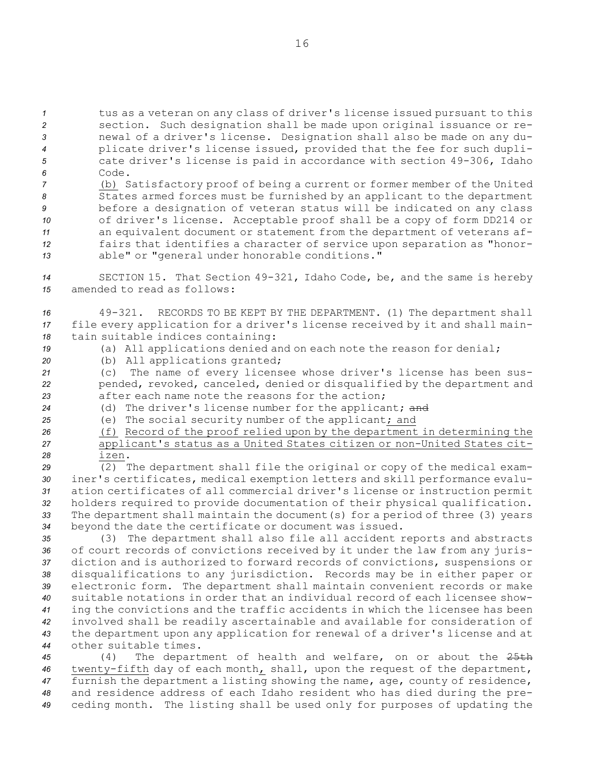tus as <sup>a</sup> veteran on any class of driver's license issued pursuant to this section. Such designation shall be made upon original issuance or re- newal of <sup>a</sup> driver's license. Designation shall also be made on any du- plicate driver's license issued, provided that the fee for such dupli- cate driver's license is paid in accordance with section 49-306, Idaho *6* Code.

 (b) Satisfactory proof of being <sup>a</sup> current or former member of the United States armed forces must be furnished by an applicant to the department before <sup>a</sup> designation of veteran status will be indicated on any class of driver's license. Acceptable proof shall be <sup>a</sup> copy of form DD214 or an equivalent document or statement from the department of veterans af- fairs that identifies <sup>a</sup> character of service upon separation as "honor-able" or "general under honorable conditions."

*<sup>14</sup>* SECTION 15. That Section 49-321, Idaho Code, be, and the same is hereby *15* amended to read as follows:

*<sup>16</sup>* 49-321. RECORDS TO BE KEPT BY THE DEPARTMENT. (1) The department shall *<sup>17</sup>* file every application for <sup>a</sup> driver's license received by it and shall main-*<sup>18</sup>* tain suitable indices containing:

*<sup>19</sup>* (a) All applications denied and on each note the reason for denial;

*<sup>20</sup>* (b) All applications granted;

*<sup>21</sup>* (c) The name of every licensee whose driver's license has been sus-*<sup>22</sup>* pended, revoked, canceled, denied or disqualified by the department and *23* after each name note the reasons for the action;

- *<sup>24</sup>* (d) The driver's license number for the applicant; and
- *<sup>25</sup>* (e) The social security number of the applicant; and

*<sup>26</sup>* (f) Record of the proof relied upon by the department in determining the *<sup>27</sup>* applicant's status as <sup>a</sup> United States citizen or non-United States cit-*28* izen.

 (2) The department shall file the original or copy of the medical exam- iner's certificates, medical exemption letters and skill performance evalu- ation certificates of all commercial driver's license or instruction permit holders required to provide documentation of their physical qualification. The department shall maintain the document(s) for <sup>a</sup> period of three (3) years beyond the date the certificate or document was issued.

 (3) The department shall also file all accident reports and abstracts of court records of convictions received by it under the law from any juris- diction and is authorized to forward records of convictions, suspensions or disqualifications to any jurisdiction. Records may be in either paper or electronic form. The department shall maintain convenient records or make suitable notations in order that an individual record of each licensee show- ing the convictions and the traffic accidents in which the licensee has been involved shall be readily ascertainable and available for consideration of the department upon any application for renewal of <sup>a</sup> driver's license and at other suitable times.

 (4) The department of health and welfare, on or about the 25th twenty-fifth day of each month, shall, upon the request of the department, furnish the department <sup>a</sup> listing showing the name, age, county of residence, and residence address of each Idaho resident who has died during the pre-ceding month. The listing shall be used only for purposes of updating the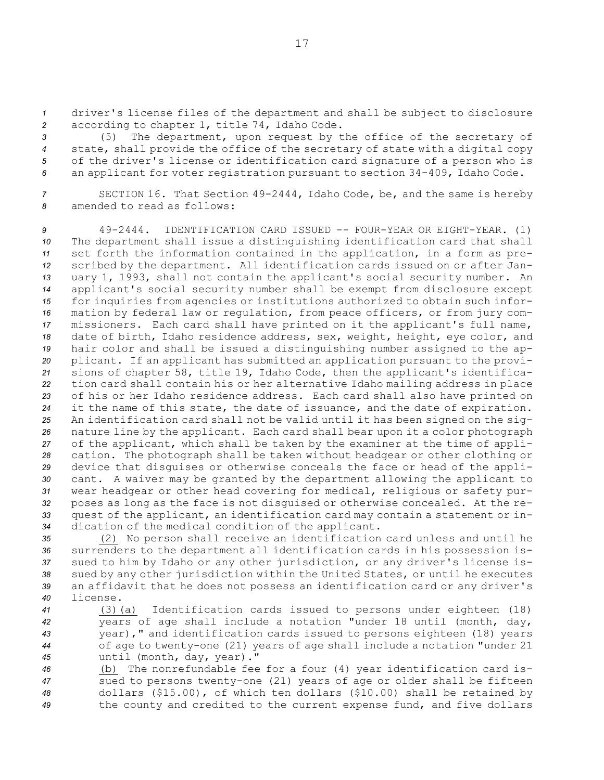*<sup>1</sup>* driver's license files of the department and shall be subject to disclosure *<sup>2</sup>* according to chapter 1, title 74, Idaho Code.

 (5) The department, upon request by the office of the secretary of state, shall provide the office of the secretary of state with <sup>a</sup> digital copy of the driver's license or identification card signature of <sup>a</sup> person who is an applicant for voter registration pursuant to section 34-409, Idaho Code.

*<sup>7</sup>* SECTION 16. That Section 49-2444, Idaho Code, be, and the same is hereby *8* amended to read as follows:

 49-2444. IDENTIFICATION CARD ISSUED -- FOUR-YEAR OR EIGHT-YEAR. (1) The department shall issue <sup>a</sup> distinguishing identification card that shall set forth the information contained in the application, in <sup>a</sup> form as pre- scribed by the department. All identification cards issued on or after Jan- uary 1, 1993, shall not contain the applicant's social security number. An applicant's social security number shall be exempt from disclosure except for inquiries from agencies or institutions authorized to obtain such infor- mation by federal law or regulation, from peace officers, or from jury com- missioners. Each card shall have printed on it the applicant's full name, date of birth, Idaho residence address, sex, weight, height, eye color, and hair color and shall be issued <sup>a</sup> distinguishing number assigned to the ap- plicant. If an applicant has submitted an application pursuant to the provi- sions of chapter 58, title 19, Idaho Code, then the applicant's identifica- tion card shall contain his or her alternative Idaho mailing address in place of his or her Idaho residence address. Each card shall also have printed on it the name of this state, the date of issuance, and the date of expiration. An identification card shall not be valid until it has been signed on the sig- nature line by the applicant. Each card shall bear upon it <sup>a</sup> color photograph of the applicant, which shall be taken by the examiner at the time of appli- cation. The photograph shall be taken without headgear or other clothing or device that disguises or otherwise conceals the face or head of the appli- cant. <sup>A</sup> waiver may be granted by the department allowing the applicant to wear headgear or other head covering for medical, religious or safety pur- poses as long as the face is not disguised or otherwise concealed. At the re- quest of the applicant, an identification card may contain <sup>a</sup> statement or in-dication of the medical condition of the applicant.

 (2) No person shall receive an identification card unless and until he surrenders to the department all identification cards in his possession is- sued to him by Idaho or any other jurisdiction, or any driver's license is- sued by any other jurisdiction within the United States, or until he executes an affidavit that he does not possess an identification card or any driver's *40* license.

 (3)(a) Identification cards issued to persons under eighteen (18) years of age shall include <sup>a</sup> notation "under 18 until (month, day, year)," and identification cards issued to persons eighteen (18) years of age to twenty-one (21) years of age shall include <sup>a</sup> notation "under 21 until (month, day, year)."

 (b) The nonrefundable fee for <sup>a</sup> four (4) year identification card is- sued to persons twenty-one (21) years of age or older shall be fifteen dollars (\$15.00), of which ten dollars (\$10.00) shall be retained by the county and credited to the current expense fund, and five dollars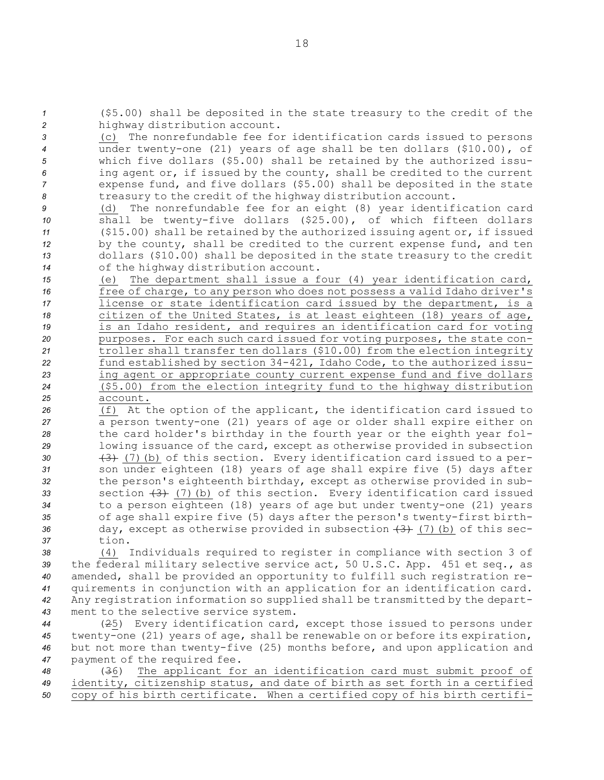which five dollars (\$5.00) shall be retained by the authorized issu- ing agent or, if issued by the county, shall be credited to the current expense fund, and five dollars (\$5.00) shall be deposited in the state treasury to the credit of the highway distribution account. (d) The nonrefundable fee for an eight (8) year identification card shall be twenty-five dollars (\$25.00), of which fifteen dollars (\$15.00) shall be retained by the authorized issuing agent or, if issued by the county, shall be credited to the current expense fund, and ten dollars (\$10.00) shall be deposited in the state treasury to the credit of the highway distribution account. (e) The department shall issue <sup>a</sup> four (4) year identification card, free of charge, to any person who does not possess <sup>a</sup> valid Idaho driver's license or state identification card issued by the department, is <sup>a</sup> citizen of the United States, is at least eighteen (18) years of age, is an Idaho resident, and requires an identification card for voting purposes. For each such card issued for voting purposes, the state con- troller shall transfer ten dollars (\$10.00) from the election integrity fund established by section 34-421, Idaho Code, to the authorized issu- ing agent or appropriate county current expense fund and five dollars (\$5.00) from the election integrity fund to the highway distribution *25* account. (f) At the option of the applicant, the identification card issued to <sup>a</sup> person twenty-one (21) years of age or older shall expire either on the card holder's birthday in the fourth year or the eighth year fol- lowing issuance of the card, except as otherwise provided in subsection (3) (7)(b) of this section. Every identification card issued to <sup>a</sup> per- son under eighteen (18) years of age shall expire five (5) days after the person's eighteenth birthday, except as otherwise provided in sub-33 section  $(3)$  (7)(b) of this section. Every identification card issued to <sup>a</sup> person eighteen (18) years of age but under twenty-one (21) years

*<sup>35</sup>* of age shall expire five (5) days after the person's twenty-first birth-*<sup>36</sup>* day, except as otherwise provided in subsection (3) (7)(b) of this sec-*37* tion.

 (4) Individuals required to register in compliance with section 3 of the federal military selective service act, 50 U.S.C. App. 451 et seq., as amended, shall be provided an opportunity to fulfill such registration re- quirements in conjunction with an application for an identification card. Any registration information so supplied shall be transmitted by the depart-ment to the selective service system.

 (25) Every identification card, except those issued to persons under twenty-one (21) years of age, shall be renewable on or before its expiration, but not more than twenty-five (25) months before, and upon application and payment of the required fee.

*<sup>48</sup>* (36) The applicant for an identification card must submit proof of *<sup>49</sup>* identity, citizenship status, and date of birth as set forth in <sup>a</sup> certified *<sup>50</sup>* copy of his birth certificate. When <sup>a</sup> certified copy of his birth certifi-

*<sup>1</sup>* (\$5.00) shall be deposited in the state treasury to the credit of the

*<sup>3</sup>* (c) The nonrefundable fee for identification cards issued to persons *<sup>4</sup>* under twenty-one (21) years of age shall be ten dollars (\$10.00), of

*<sup>2</sup>* highway distribution account.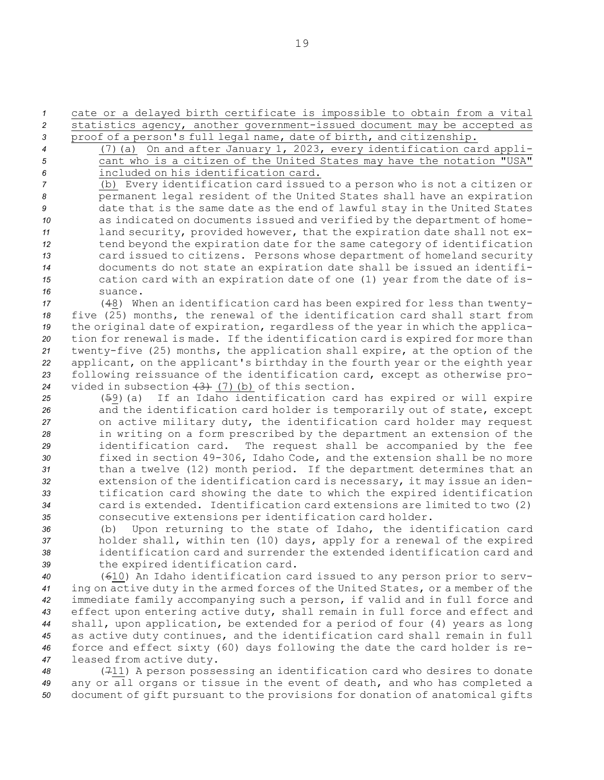*<sup>1</sup>* cate or <sup>a</sup> delayed birth certificate is impossible to obtain from <sup>a</sup> vital *<sup>2</sup>* statistics agency, another government-issued document may be accepted as *<sup>3</sup>* proof of <sup>a</sup> person's full legal name, date of birth, and citizenship.

- 
- 

*<sup>4</sup>* (7)(a) On and after January 1, 2023, every identification card appli-*<sup>5</sup>* cant who is <sup>a</sup> citizen of the United States may have the notation "USA" *6* included on his identification card.

 (b) Every identification card issued to <sup>a</sup> person who is not <sup>a</sup> citizen or permanent legal resident of the United States shall have an expiration date that is the same date as the end of lawful stay in the United States as indicated on documents issued and verified by the department of home- land security, provided however, that the expiration date shall not ex- tend beyond the expiration date for the same category of identification card issued to citizens. Persons whose department of homeland security documents do not state an expiration date shall be issued an identifi- cation card with an expiration date of one (1) year from the date of is-*16* suance.

 (48) When an identification card has been expired for less than twenty- five (25) months, the renewal of the identification card shall start from the original date of expiration, regardless of the year in which the applica- tion for renewal is made. If the identification card is expired for more than twenty-five (25) months, the application shall expire, at the option of the applicant, on the applicant's birthday in the fourth year or the eighth year following reissuance of the identification card, except as otherwise pro-vided in subsection (3) (7)(b) of this section.

 (59)(a) If an Idaho identification card has expired or will expire and the identification card holder is temporarily out of state, except on active military duty, the identification card holder may request in writing on <sup>a</sup> form prescribed by the department an extension of the identification card. The request shall be accompanied by the fee fixed in section 49-306, Idaho Code, and the extension shall be no more than <sup>a</sup> twelve (12) month period. If the department determines that an extension of the identification card is necessary, it may issue an iden- tification card showing the date to which the expired identification card is extended. Identification card extensions are limited to two (2) consecutive extensions per identification card holder.

 (b) Upon returning to the state of Idaho, the identification card holder shall, within ten (10) days, apply for <sup>a</sup> renewal of the expired identification card and surrender the extended identification card and the expired identification card.

 (610) An Idaho identification card issued to any person prior to serv- ing on active duty in the armed forces of the United States, or <sup>a</sup> member of the immediate family accompanying such <sup>a</sup> person, if valid and in full force and effect upon entering active duty, shall remain in full force and effect and shall, upon application, be extended for <sup>a</sup> period of four (4) years as long as active duty continues, and the identification card shall remain in full force and effect sixty (60) days following the date the card holder is re-leased from active duty.

*<sup>48</sup>* (711) <sup>A</sup> person possessing an identification card who desires to donate *<sup>49</sup>* any or all organs or tissue in the event of death, and who has completed <sup>a</sup> *<sup>50</sup>* document of gift pursuant to the provisions for donation of anatomical gifts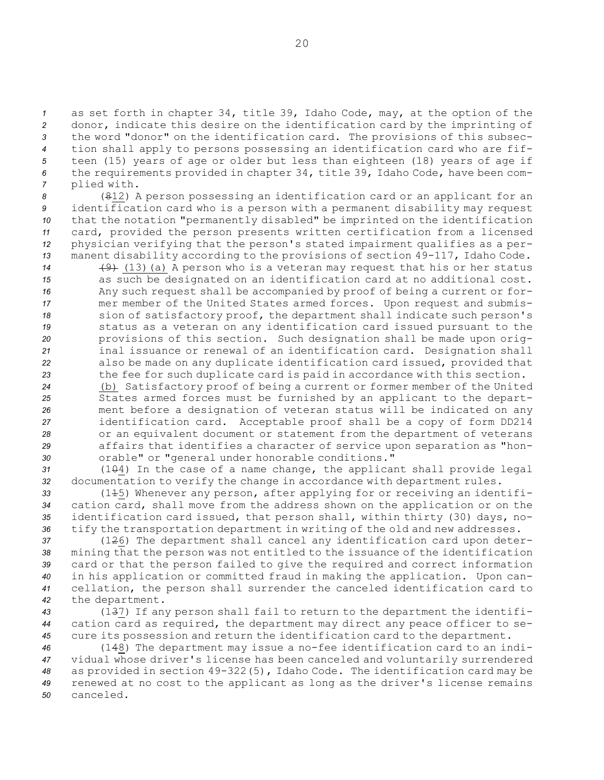as set forth in chapter 34, title 39, Idaho Code, may, at the option of the donor, indicate this desire on the identification card by the imprinting of the word "donor" on the identification card. The provisions of this subsec- tion shall apply to persons possessing an identification card who are fif- teen (15) years of age or older but less than eighteen (18) years of age if the requirements provided in chapter 34, title 39, Idaho Code, have been com-plied with.

 (812) <sup>A</sup> person possessing an identification card or an applicant for an identification card who is <sup>a</sup> person with <sup>a</sup> permanent disability may request that the notation "permanently disabled" be imprinted on the identification card, provided the person presents written certification from <sup>a</sup> licensed physician verifying that the person's stated impairment qualifies as <sup>a</sup> per- manent disability according to the provisions of section 49-117, Idaho Code. (9) (13)(a) <sup>A</sup> person who is <sup>a</sup> veteran may request that his or her status as such be designated on an identification card at no additional cost. Any such request shall be accompanied by proof of being <sup>a</sup> current or for- mer member of the United States armed forces. Upon request and submis- sion of satisfactory proof, the department shall indicate such person's status as <sup>a</sup> veteran on any identification card issued pursuant to the provisions of this section. Such designation shall be made upon orig- inal issuance or renewal of an identification card. Designation shall also be made on any duplicate identification card issued, provided that the fee for such duplicate card is paid in accordance with this section.

 (b) Satisfactory proof of being <sup>a</sup> current or former member of the United States armed forces must be furnished by an applicant to the depart- ment before <sup>a</sup> designation of veteran status will be indicated on any identification card. Acceptable proof shall be <sup>a</sup> copy of form DD214 or an equivalent document or statement from the department of veterans affairs that identifies <sup>a</sup> character of service upon separation as "hon-orable" or "general under honorable conditions."

*<sup>31</sup>* (104) In the case of <sup>a</sup> name change, the applicant shall provide legal *<sup>32</sup>* documentation to verify the change in accordance with department rules.

 (115) Whenever any person, after applying for or receiving an identifi- cation card, shall move from the address shown on the application or on the identification card issued, that person shall, within thirty (30) days, no-tify the transportation department in writing of the old and new addresses.

 (126) The department shall cancel any identification card upon deter- mining that the person was not entitled to the issuance of the identification card or that the person failed to give the required and correct information in his application or committed fraud in making the application. Upon can- cellation, the person shall surrender the canceled identification card to the department.

*<sup>43</sup>* (137) If any person shall fail to return to the department the identifi-*<sup>44</sup>* cation card as required, the department may direct any peace officer to se-*<sup>45</sup>* cure its possession and return the identification card to the department.

 (148) The department may issue <sup>a</sup> no-fee identification card to an indi- vidual whose driver's license has been canceled and voluntarily surrendered as provided in section 49-322(5), Idaho Code. The identification card may be renewed at no cost to the applicant as long as the driver's license remains *50* canceled.